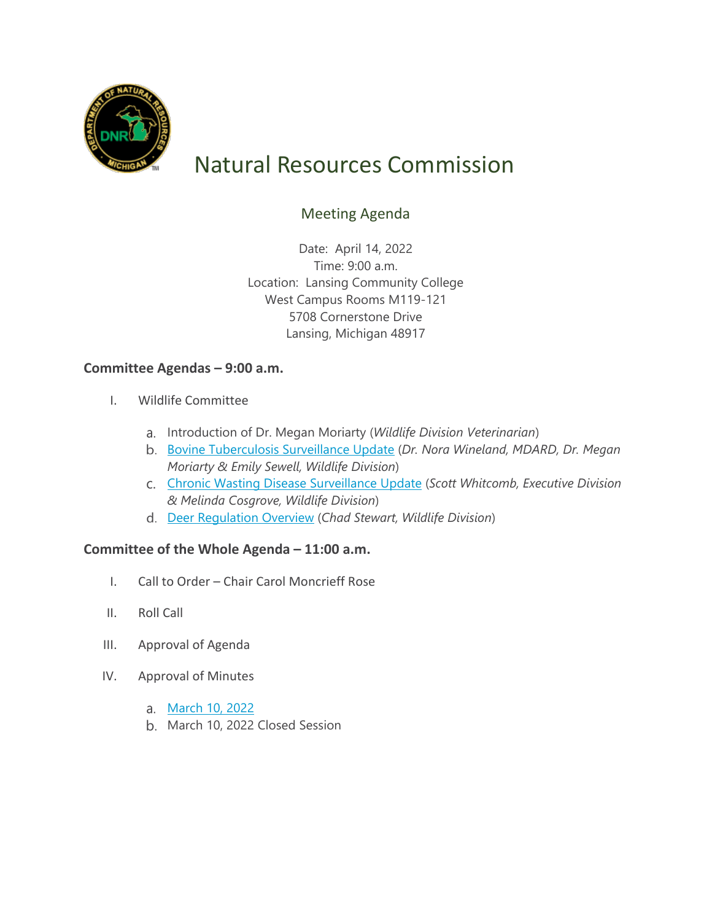

# Natural Resources Commission

# Meeting Agenda

Date: April 14, 2022 Time: 9:00 a.m. Location: Lansing Community College West Campus Rooms M119-121 5708 Cornerstone Drive Lansing, Michigan 48917

## **Committee Agendas – 9:00 a.m.**

- I. Wildlife Committee
	- a. Introduction of Dr. Megan Moriarty (*Wildlife Division Veterinarian*)
	- [Bovine Tuberculosis Surveillance Update](https://www.michigan.gov/dnr/-/media/Project/Websites/dnr/Documents/Boards/NRC/2022/April-2022/bTB_Update_4_2022.pdf) (*Dr. Nora Wineland, MDARD, Dr. Megan Moriarty & Emily Sewell, Wildlife Division*)
	- [Chronic Wasting Disease Surveillance Update](https://www.michigan.gov/dnr/-/media/Project/Websites/dnr/Documents/Boards/NRC/2022/April-2022/CWD_4_2022.pdf) (*Scott Whitcomb, Executive Division & Melinda Cosgrove, Wildlife Division*)
	- [Deer Regulation Overview](https://www.michigan.gov/dnr/-/media/Project/Websites/dnr/Documents/Boards/NRC/2022/April-2022/Deer_Management_4_2022.pdf) (*Chad Stewart, Wildlife Division*)

### **Committee of the Whole Agenda – 11:00 a.m.**

- I. Call to Order Chair Carol Moncrieff Rose
- II. Roll Call
- III. Approval of Agenda
- IV. Approval of Minutes
	- [March 10, 2022](https://www.michigan.gov/dnr/-/media/Project/Websites/dnr/Documents/Boards/NRC/2022/April-2022/Draft_March_NRC_Minutes_Final.pdf)
	- b. March 10, 2022 Closed Session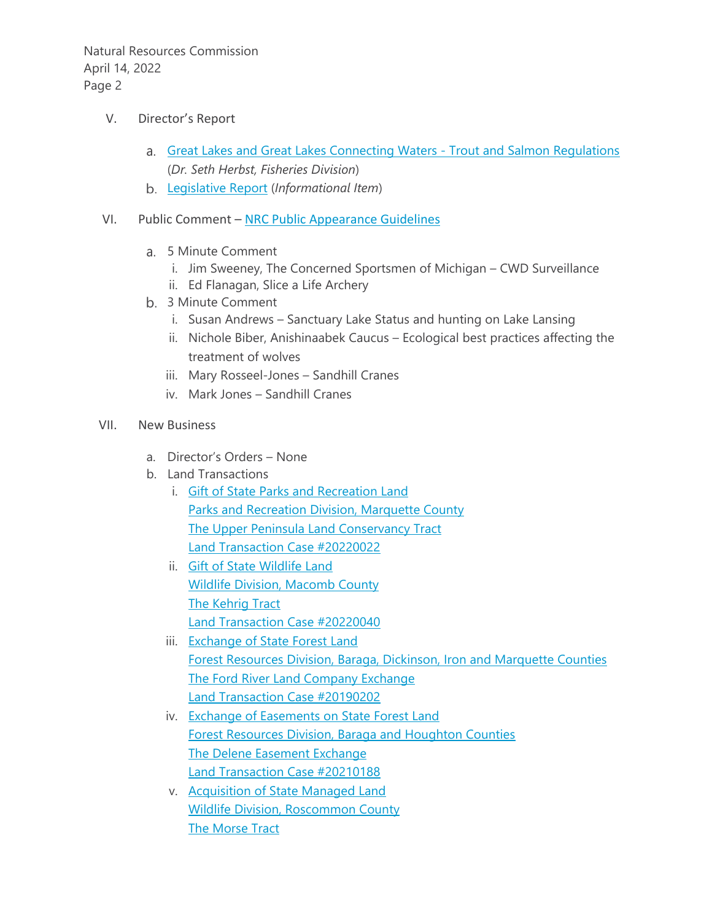Natural Resources Commission April 14, 2022 Page 2

- V. Director's Report
	- a. [Great Lakes and Great Lakes Connecting Waters -](https://www.michigan.gov/dnr/-/media/Project/Websites/dnr/Documents/Boards/NRC/2022/April-2022/Fisheries_4_2022.pdf) Trout and Salmon Regulations (*Dr. Seth Herbst, Fisheries Division*)
	- [Legislative Report](https://www.michigan.gov/dnr/-/media/Project/Websites/dnr/Documents/Boards/NRC/2022/April-2022/4_LegReport_2022.pdf) (*Informational Item*)
- VI. Public Comment [NRC Public Appearance Guidelines](http://www.michigan.gov/documents/dnr/Public_Appearance_Guidelines_6.19.19_669545_7.pdf)
	- 5 Minute Comment
		- i. Jim Sweeney, The Concerned Sportsmen of Michigan CWD Surveillance
		- ii. Ed Flanagan, Slice a Life Archery
	- 3 Minute Comment
		- i. Susan Andrews Sanctuary Lake Status and hunting on Lake Lansing
		- ii. Nichole Biber, Anishinaabek Caucus Ecological best practices affecting the treatment of wolves
		- iii. Mary Rosseel-Jones Sandhill Cranes
		- iv. Mark Jones Sandhill Cranes
- VII. New Business
	- a. Director's Orders None
	- b. Land Transactions
		- i. [Gift of State Parks and Recreation Land](https://www.michigan.gov/dnr/-/media/Project/Websites/dnr/Documents/Boards/NRC/2022/April%202022/Signed_20220022) [Parks and Recreation Division, Marquette County](https://www.michigan.gov/dnr/-/media/Project/Websites/dnr/Documents/Boards/NRC/2022/April%202022/Signed_20220022) [The Upper Peninsula Land Conservancy Tract](https://www.michigan.gov/dnr/-/media/Project/Websites/dnr/Documents/Boards/NRC/2022/April%202022/Signed_20220022) [Land Transaction Case #20220022](https://www.michigan.gov/dnr/-/media/Project/Websites/dnr/Documents/Boards/NRC/2022/April%202022/Signed_20220022)
		- ii. [Gift of State Wildlife Land](https://www.michigan.gov/dnr/-/media/Project/Websites/dnr/Documents/Boards/NRC/2022/April%202022/Signed_20220040) [Wildlife Division, Macomb County](https://www.michigan.gov/dnr/-/media/Project/Websites/dnr/Documents/Boards/NRC/2022/April%202022/Signed_20220040) [The Kehrig Tract](https://www.michigan.gov/dnr/-/media/Project/Websites/dnr/Documents/Boards/NRC/2022/April%202022/Signed_20220040) [Land Transaction](https://www.michigan.gov/dnr/-/media/Project/Websites/dnr/Documents/Boards/NRC/2022/April%202022/Signed_20220040) Case #20220040
		- iii. [Exchange of State Forest Land](https://www.michigan.gov/dnr/-/media/Project/Websites/dnr/Documents/Boards/NRC/2022/April%202022/Signed_20190202) [Forest Resources Division, Baraga, Dickinson, Iron and Marquette Counties](https://www.michigan.gov/dnr/-/media/Project/Websites/dnr/Documents/Boards/NRC/2022/April%202022/Signed_20190202) [The Ford River Land Company Exchange](https://www.michigan.gov/dnr/-/media/Project/Websites/dnr/Documents/Boards/NRC/2022/April%202022/Signed_20190202) [Land Transaction Case #20190202](https://www.michigan.gov/dnr/-/media/Project/Websites/dnr/Documents/Boards/NRC/2022/April%202022/Signed_20190202)
		- iv. [Exchange of Easements on State Forest Land](https://www.michigan.gov/dnr/-/media/Project/Websites/dnr/Documents/Boards/NRC/2022/April%202022/Signed_20210188) [Forest Resources Division, Baraga and Houghton Counties](https://www.michigan.gov/dnr/-/media/Project/Websites/dnr/Documents/Boards/NRC/2022/April%202022/Signed_20210188) [The Delene Easement Exchange](https://www.michigan.gov/dnr/-/media/Project/Websites/dnr/Documents/Boards/NRC/2022/April%202022/Signed_20210188) [Land Transaction Case #20210188](https://www.michigan.gov/dnr/-/media/Project/Websites/dnr/Documents/Boards/NRC/2022/April%202022/Signed_20210188)
		- v. [Acquisition of State Managed Land](https://www.michigan.gov/dnr/-/media/Project/Websites/dnr/Documents/Boards/NRC/2022/April%202022/Signed_20110165) [Wildlife Division, Roscommon County](https://www.michigan.gov/dnr/-/media/Project/Websites/dnr/Documents/Boards/NRC/2022/April%202022/Signed_20110165) [The Morse Tract](https://www.michigan.gov/dnr/-/media/Project/Websites/dnr/Documents/Boards/NRC/2022/April%202022/Signed_20110165)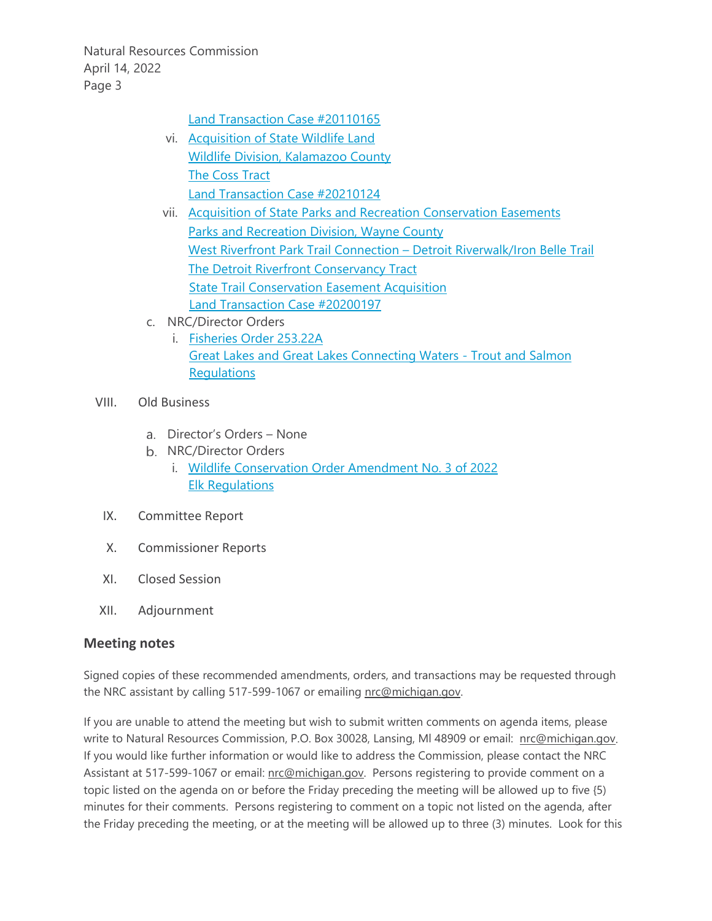Natural Resources Commission April 14, 2022 Page 3

[Land Transaction Case #20110165](https://www.michigan.gov/dnr/-/media/Project/Websites/dnr/Documents/Boards/NRC/2022/April%202022/Signed_20110165)

- vi. [Acquisition of State Wildlife Land](https://www.michigan.gov/dnr/-/media/Project/Websites/dnr/Documents/Boards/NRC/2022/April%202022/Signed_20210124) [Wildlife Division, Kalamazoo County](https://www.michigan.gov/dnr/-/media/Project/Websites/dnr/Documents/Boards/NRC/2022/April%202022/Signed_20210124) [The Coss Tract](https://www.michigan.gov/dnr/-/media/Project/Websites/dnr/Documents/Boards/NRC/2022/April%202022/Signed_20210124) [Land Transaction Case #20210124](https://www.michigan.gov/dnr/-/media/Project/Websites/dnr/Documents/Boards/NRC/2022/April%202022/Signed_20210124)
- vii. [Acquisition of State Parks and Recreation Conservation Easements](https://www.michigan.gov/dnr/-/media/Project/Websites/dnr/Documents/Boards/NRC/2022/April%202022/Signed_20200197) [Parks and Recreation Division, Wayne County](https://www.michigan.gov/dnr/-/media/Project/Websites/dnr/Documents/Boards/NRC/2022/April%202022/Signed_20200197) [West Riverfront Park Trail Connection –](https://www.michigan.gov/dnr/-/media/Project/Websites/dnr/Documents/Boards/NRC/2022/April%202022/Signed_20200197) Detroit Riverwalk/Iron Belle Trail [The Detroit Riverfront Conservancy Tract](https://www.michigan.gov/dnr/-/media/Project/Websites/dnr/Documents/Boards/NRC/2022/April%202022/Signed_20200197) [State Trail Conservation Easement Acquisition](https://www.michigan.gov/dnr/-/media/Project/Websites/dnr/Documents/Boards/NRC/2022/April%202022/Signed_20200197) [Land Transaction Case #20200197](https://www.michigan.gov/dnr/-/media/Project/Websites/dnr/Documents/Boards/NRC/2022/April%202022/Signed_20200197)
- c. NRC/Director Orders
	- i. [Fisheries Order 253.22A](https://www.michigan.gov/dnr/-/media/Project/Websites/dnr/Documents/Boards/NRC/2022/April-2022/Signed_FO-25322A.pdf) [Great Lakes and Great Lakes Connecting Waters -](https://www.michigan.gov/dnr/-/media/Project/Websites/dnr/Documents/Boards/NRC/2022/April-2022/Signed_FO-25322A.pdf) Trout and Salmon **[Regulations](https://www.michigan.gov/dnr/-/media/Project/Websites/dnr/Documents/Boards/NRC/2022/April-2022/Signed_FO-25322A.pdf)**
- VIII. Old Business
	- Director's Orders None
	- b. NRC/Director Orders
		- i. [Wildlife Conservation Order Amendment No. 3 of 2022](https://www.michigan.gov/dnr/-/media/Project/Websites/dnr/Documents/Boards/NRC/2022/April%202022/Signed_03WCO2022.pdf) [Elk Regulations](https://www.michigan.gov/dnr/-/media/Project/Websites/dnr/Documents/Boards/NRC/2022/April%202022/Signed_03WCO2022.pdf)
	- IX. Committee Report
	- X. Commissioner Reports
	- XI. Closed Session
- XII. Adjournment

### **Meeting notes**

Signed copies of these recommended amendments, orders, and transactions may be requested through the NRC assistant by calling 517-599-1067 or emailing [nrc@michigan.gov.](mailto:nrc@michigan.gov)

If you are unable to attend the meeting but wish to submit written comments on agenda items, please write to Natural Resources Commission, P.O. Box 30028, Lansing, Ml 48909 or email: [nrc@michigan.gov.](mailto:nrc@michigan.gov)  If you would like further information or would like to address the Commission, please contact the NRC Assistant at 517-599-1067 or email: [nrc@michigan.gov.](mailto:nrc@michigan.gov) Persons registering to provide comment on a topic listed on the agenda on or before the Friday preceding the meeting will be allowed up to five {5) minutes for their comments. Persons registering to comment on a topic not listed on the agenda, after the Friday preceding the meeting, or at the meeting will be allowed up to three (3) minutes. Look for this